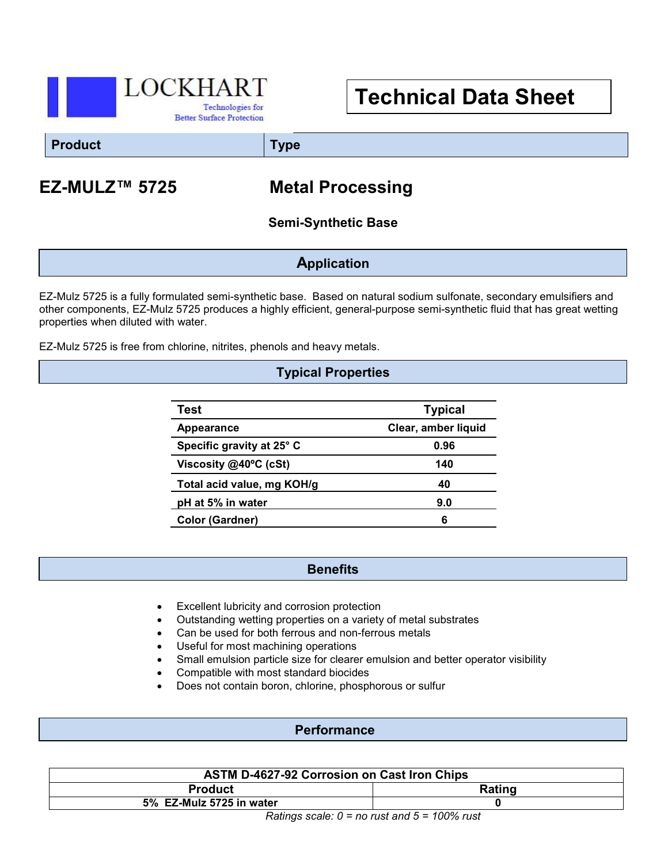

# **Technical Data Sheet**

**Product Type**

## **EZ-MULZ™ 5725 Metal Processing**

#### **Semi-Synthetic Base**

**Application**

EZ-Mulz 5725 is a fully formulated semi-synthetic base. Based on natural sodium sulfonate, secondary emulsifiers and other components, EZ-Mulz 5725 produces a highly efficient, general-purpose semi-synthetic fluid that has great wetting properties when diluted with water.

EZ-Mulz 5725 is free from chlorine, nitrites, phenols and heavy metals.

#### **Typical Properties**

| Test                       | <b>Typical</b>      |
|----------------------------|---------------------|
| Appearance                 | Clear, amber liquid |
| Specific gravity at 25° C  | 0.96                |
| Viscosity @40°C (cSt)      | 140                 |
| Total acid value, mg KOH/g | 40                  |
| pH at 5% in water          | 9.0                 |
| <b>Color (Gardner)</b>     | 6                   |

#### **Benefits**

- Excellent lubricity and corrosion protection
- Outstanding wetting properties on a variety of metal substrates
- Can be used for both ferrous and non-ferrous metals
- Useful for most machining operations
- Small emulsion particle size for clearer emulsion and better operator visibility
- Compatible with most standard biocides
- Does not contain boron, chlorine, phosphorous or sulfur

#### **Performance**

| <b>ASTM D-4627-92 Corrosion on Cast Iron Chips</b> |               |  |  |
|----------------------------------------------------|---------------|--|--|
| <b>Product</b>                                     | <b>Rating</b> |  |  |
| 5% EZ-Mulz 5725 in water                           |               |  |  |
| $Dating code: \Omega = no must and E = 1000$ rust  |               |  |  |

*Ratings scale: 0 = no rust and 5 = 100% rust*